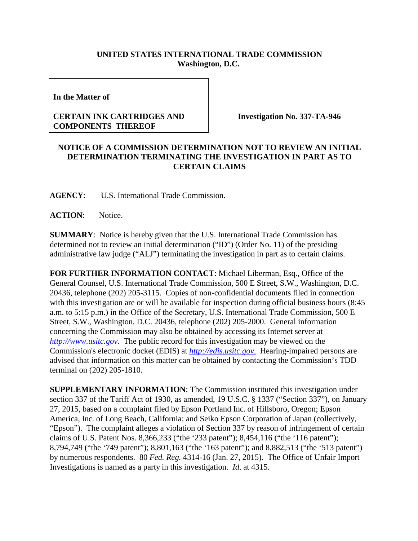## **UNITED STATES INTERNATIONAL TRADE COMMISSION Washington, D.C.**

**In the Matter of**

## **CERTAIN INK CARTRIDGES AND COMPONENTS THEREOF**

**Investigation No. 337-TA-946**

## **NOTICE OF A COMMISSION DETERMINATION NOT TO REVIEW AN INITIAL DETERMINATION TERMINATING THE INVESTIGATION IN PART AS TO CERTAIN CLAIMS**

**AGENCY**: U.S. International Trade Commission.

**ACTION**: Notice.

**SUMMARY**: Notice is hereby given that the U.S. International Trade Commission has determined not to review an initial determination ("ID") (Order No. 11) of the presiding administrative law judge ("ALJ") terminating the investigation in part as to certain claims.

**FOR FURTHER INFORMATION CONTACT**: Michael Liberman, Esq., Office of the General Counsel, U.S. International Trade Commission, 500 E Street, S.W., Washington, D.C. 20436, telephone (202) 205-3115. Copies of non-confidential documents filed in connection with this investigation are or will be available for inspection during official business hours (8:45) a.m. to 5:15 p.m.) in the Office of the Secretary, U.S. International Trade Commission, 500 E Street, S.W., Washington, D.C. 20436, telephone (202) 205-2000. General information concerning the Commission may also be obtained by accessing its Internet server at *http://www.usitc.gov*. The public record for this investigation may be viewed on the Commission's electronic docket (EDIS) at *http://edis.usitc.gov*. Hearing-impaired persons are advised that information on this matter can be obtained by contacting the Commission's TDD terminal on (202) 205-1810.

**SUPPLEMENTARY INFORMATION**: The Commission instituted this investigation under section 337 of the Tariff Act of 1930, as amended, 19 U.S.C. § 1337 ("Section 337"), on January 27, 2015, based on a complaint filed by Epson Portland Inc. of Hillsboro, Oregon; Epson America, Inc. of Long Beach, California; and Seiko Epson Corporation of Japan (collectively, "Epson"). The complaint alleges a violation of Section 337 by reason of infringement of certain claims of U.S. Patent Nos. 8,366,233 ("the '233 patent"); 8,454,116 ("the '116 patent"); 8,794,749 ("the '749 patent"); 8,801,163 ("the '163 patent"); and 8,882,513 ("the '513 patent") by numerous respondents. 80 *Fed. Reg.* 4314-16 (Jan. 27, 2015). The Office of Unfair Import Investigations is named as a party in this investigation. *Id*. at 4315.